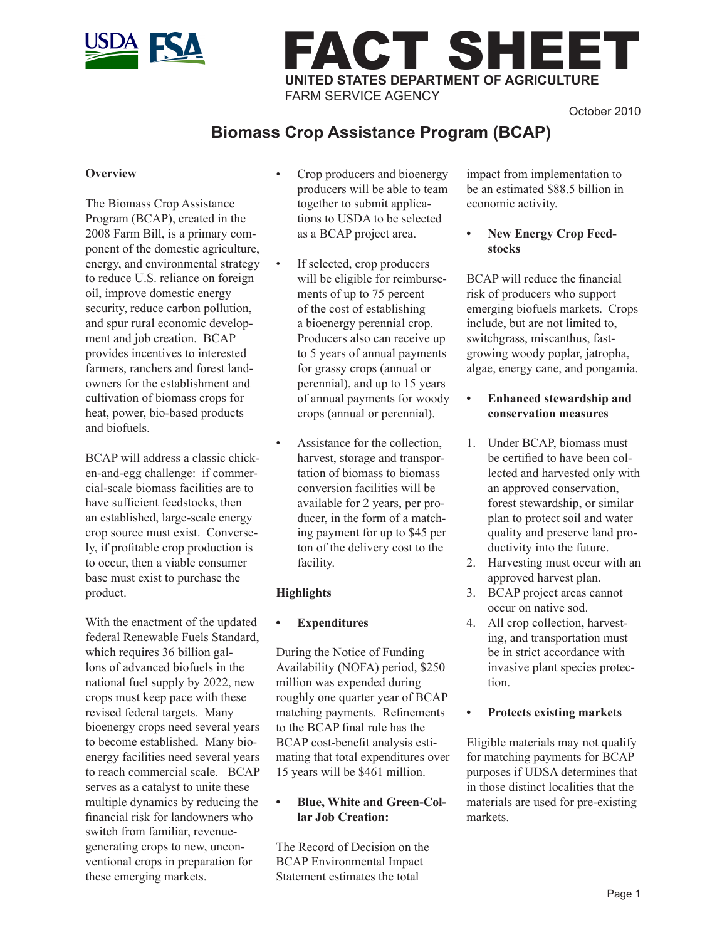

# FACT SHEET **UNITED STATES DEPARTMENT OF AGRICULTURE** FARM SERVICE AGENCY

October 2010

# **Biomass Crop Assistance Program (BCAP)**

#### **Overview**

The Biomass Crop Assistance Program (BCAP), created in the 2008 Farm Bill, is a primary component of the domestic agriculture, energy, and environmental strategy to reduce U.S. reliance on foreign oil, improve domestic energy security, reduce carbon pollution, and spur rural economic development and job creation. BCAP provides incentives to interested farmers, ranchers and forest landowners for the establishment and cultivation of biomass crops for heat, power, bio-based products and biofuels.

BCAP will address a classic chicken-and-egg challenge: if commercial-scale biomass facilities are to have sufficient feedstocks, then an established, large-scale energy crop source must exist. Conversely, if profitable crop production is to occur, then a viable consumer base must exist to purchase the product.

With the enactment of the updated federal Renewable Fuels Standard, which requires 36 billion gallons of advanced biofuels in the national fuel supply by 2022, new crops must keep pace with these revised federal targets. Many bioenergy crops need several years to become established. Many bioenergy facilities need several years to reach commercial scale. BCAP serves as a catalyst to unite these multiple dynamics by reducing the financial risk for landowners who switch from familiar, revenuegenerating crops to new, unconventional crops in preparation for these emerging markets.

- Crop producers and bioenergy producers will be able to team together to submit applications to USDA to be selected as a BCAP project area.
- If selected, crop producers will be eligible for reimbursements of up to 75 percent of the cost of establishing a bioenergy perennial crop. Producers also can receive up to 5 years of annual payments for grassy crops (annual or perennial), and up to 15 years of annual payments for woody crops (annual or perennial).
- Assistance for the collection, harvest, storage and transportation of biomass to biomass conversion facilities will be available for 2 years, per producer, in the form of a matching payment for up to \$45 per ton of the delivery cost to the facility.

#### **Highlights**

#### **• Expenditures**

During the Notice of Funding Availability (NOFA) period, \$250 million was expended during roughly one quarter year of BCAP matching payments. Refinements to the BCAP final rule has the BCAP cost-benefit analysis estimating that total expenditures over 15 years will be \$461 million.

#### **• Blue, White and Green-Collar Job Creation:**

The Record of Decision on the BCAP Environmental Impact Statement estimates the total

impact from implementation to be an estimated \$88.5 billion in economic activity.

**• New Energy Crop Feedstocks**

BCAP will reduce the financial risk of producers who support emerging biofuels markets. Crops include, but are not limited to, switchgrass, miscanthus, fastgrowing woody poplar, jatropha, algae, energy cane, and pongamia.

- **• Enhanced stewardship and conservation measures**
- 1. Under BCAP, biomass must be certified to have been collected and harvested only with an approved conservation, forest stewardship, or similar plan to protect soil and water quality and preserve land productivity into the future.
- 2. Harvesting must occur with an approved harvest plan.
- 3. BCAP project areas cannot occur on native sod.
- 4. All crop collection, harvesting, and transportation must be in strict accordance with invasive plant species protection.
- **• Protects existing markets**

Eligible materials may not qualify for matching payments for BCAP purposes if UDSA determines that in those distinct localities that the materials are used for pre-existing markets.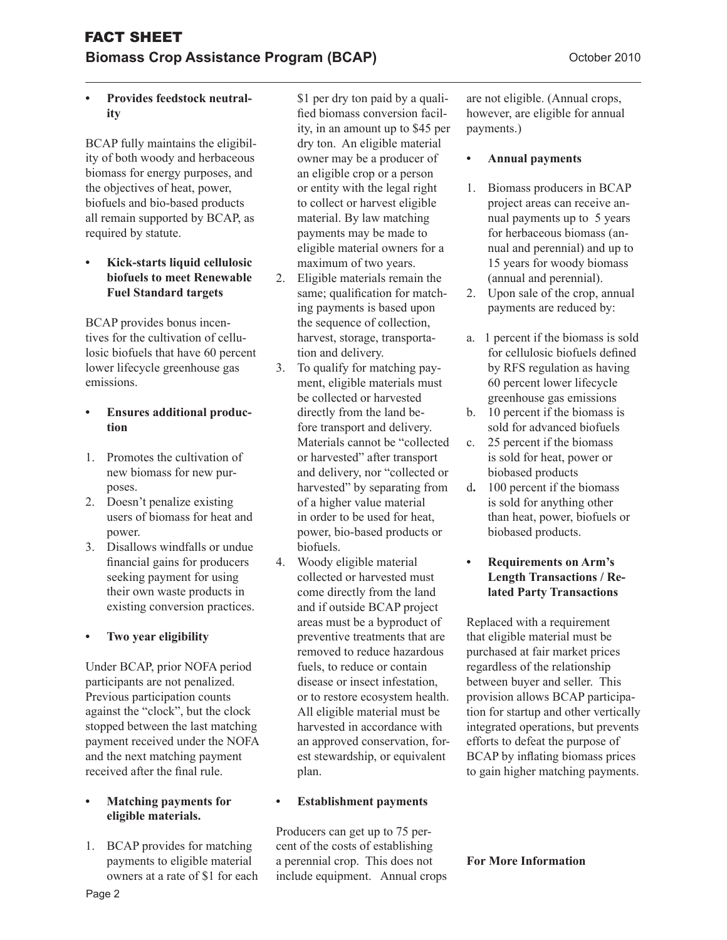# **Provides feedstock neutrality**

BCAP fully maintains the eligibility of both woody and herbaceous biomass for energy purposes, and the objectives of heat, power, biofuels and bio-based products all remain supported by BCAP, as required by statute.

#### **• Kick-starts liquid cellulosic biofuels to meet Renewable Fuel Standard targets**

BCAP provides bonus incentives for the cultivation of cellulosic biofuels that have 60 percent lower lifecycle greenhouse gas emissions.

### **Ensures additional production**

- 1. Promotes the cultivation of new biomass for new purposes.
- 2. Doesn't penalize existing users of biomass for heat and power.
- 3. Disallows windfalls or undue financial gains for producers seeking payment for using their own waste products in existing conversion practices.

# **• Two year eligibility**

Under BCAP, prior NOFA period participants are not penalized. Previous participation counts against the "clock", but the clock stopped between the last matching payment received under the NOFA and the next matching payment received after the final rule.

#### **Matching payments for eligible materials.**

1. BCAP provides for matching payments to eligible material owners at a rate of \$1 for each \$1 per dry ton paid by a qualified biomass conversion facility, in an amount up to \$45 per dry ton. An eligible material owner may be a producer of an eligible crop or a person or entity with the legal right to collect or harvest eligible material. By law matching payments may be made to eligible material owners for a maximum of two years.

- 2. Eligible materials remain the same; qualification for matching payments is based upon the sequence of collection, harvest, storage, transportation and delivery.
- 3. To qualify for matching payment, eligible materials must be collected or harvested directly from the land before transport and delivery. Materials cannot be "collected or harvested" after transport and delivery, nor "collected or harvested" by separating from of a higher value material in order to be used for heat, power, bio-based products or biofuels.
- 4. Woody eligible material collected or harvested must come directly from the land and if outside BCAP project areas must be a byproduct of preventive treatments that are removed to reduce hazardous fuels, to reduce or contain disease or insect infestation, or to restore ecosystem health. All eligible material must be harvested in accordance with an approved conservation, forest stewardship, or equivalent plan.

# **• Establishment payments**

Producers can get up to 75 percent of the costs of establishing a perennial crop. This does not include equipment. Annual crops are not eligible. (Annual crops, however, are eligible for annual payments.)

## **• Annual payments**

- 1. Biomass producers in BCAP project areas can receive annual payments up to 5 years for herbaceous biomass (annual and perennial) and up to 15 years for woody biomass (annual and perennial).
- 2. Upon sale of the crop, annual payments are reduced by:
- a. 1 percent if the biomass is sold for cellulosic biofuels defined by RFS regulation as having 60 percent lower lifecycle greenhouse gas emissions
- b. 10 percent if the biomass is sold for advanced biofuels
- c. 25 percent if the biomass is sold for heat, power or biobased products
- d**.** 100 percent if the biomass is sold for anything other than heat, power, biofuels or biobased products.
- **• Requirements on Arm's Length Transactions / Related Party Transactions**

Replaced with a requirement that eligible material must be purchased at fair market prices regardless of the relationship between buyer and seller. This provision allows BCAP participation for startup and other vertically integrated operations, but prevents efforts to defeat the purpose of BCAP by inflating biomass prices to gain higher matching payments.

# **For More Information**